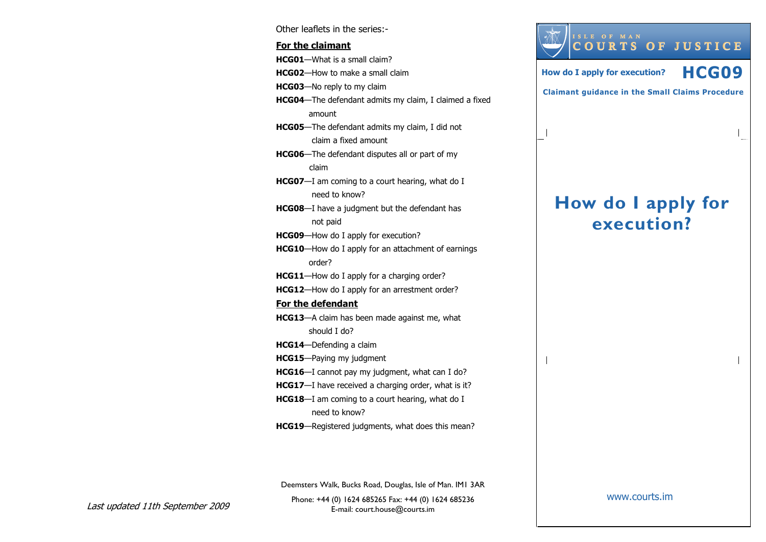Other leaflets in the series:- For the claimantHCG01—What is a small claim? HCG02—How to make a small claim HCG03—No reply to my claim HCG04—The defendant admits my claim, I claimed a fixed amount HCG05—The defendant admits my claim, I did not claim a fixed amount HCG06—The defendant disputes all or part of my claim **HCG07**—I am coming to a court hearing, what do I need to know? HCG08—I have a judgment but the defendant has not paid HCG09—How do I apply for execution? HCG10—How do I apply for an attachment of earnings order? HCG11—How do I apply for a charging order? HCG12—How do I apply for an arrestment order? For the defendantHCG13—A claim has been made against me, what should I do? HCG14—Defending a claim HCG15—Paying my judgment HCG16—I cannot pay my judgment, what can I do? HCG17-I have received a charging order, what is it? **HCG18**—I am coming to a court hearing, what do I need to know? HCG19—Registered judgments, what does this mean?



Claimant guidance in the Small Claims Procedure

# How do I apply for execution?

Deemsters Walk, Bucks Road, Douglas, Isle of Man. IM1 3AR

Phone: +44 (0) 1624 685265 Fax: +44 (0) 1624 685236E-mail: court.house@courts.im

Last updated 11th September 2009

www.courts.im